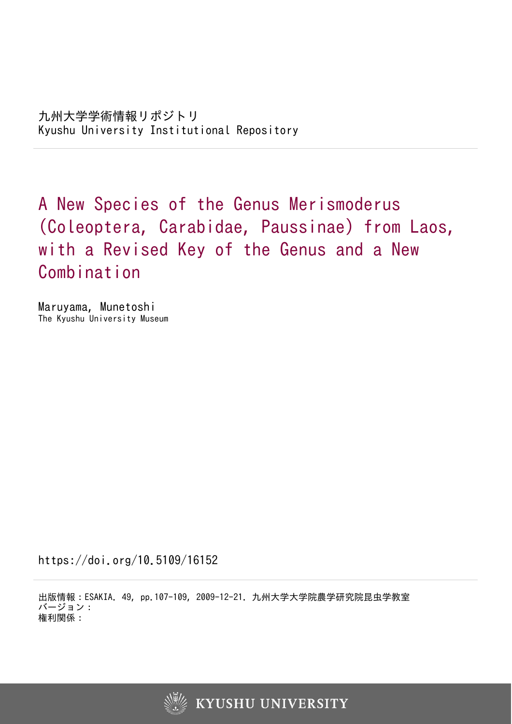A New Species of the Genus Merismoderus (Coleoptera, Carabidae, Paussinae) from Laos, with a Revised Key of the Genus and a New Combination

Maruyama, Munetoshi The Kyushu University Museum

https://doi.org/10.5109/16152

出版情報:ESAKIA. 49, pp.107-109, 2009-12-21. 九州大学大学院農学研究院昆虫学教室 バージョン: 権利関係:

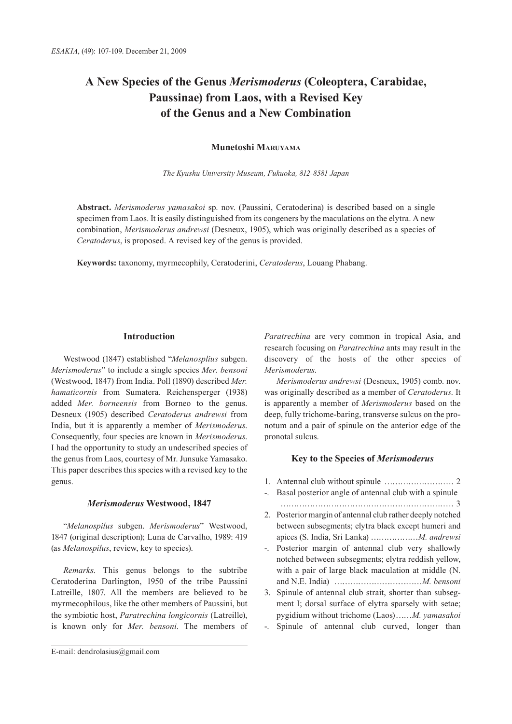# **A New Species of the Genus** *Merismoderus* **(Coleoptera, Carabidae, Paussinae) from Laos, with a Revised Key of the Genus and a New Combination**

## **Munetoshi Maruyama**

*The Kyushu University Museum, Fukuoka, 812-8581 Japan*

**Abstract.** *Merismoderus yamasakoi* sp. nov. (Paussini, Ceratoderina) is described based on a single specimen from Laos. It is easily distinguished from its congeners by the maculations on the elytra. A new combination, *Merismoderus andrewsi* (Desneux, 1905), which was originally described as a species of *Ceratoderus*, is proposed. A revised key of the genus is provided.

**Keywords:** taxonomy, myrmecophily, Ceratoderini, *Ceratoderus*, Louang Phabang.

## **Introduction**

Westwood (1847) established "*Melanosplius* subgen. *Merismoderus*" to include a single species *Mer. bensoni* (Westwood, 1847) from India. Poll (1890) described *Mer. hamaticornis* from Sumatera. Reichensperger (1938) added *Mer. borneensis* from Borneo to the genus. Desneux (1905) described *Ceratoderus andrewsi* from India, but it is apparently a member of *Merismoderus*. Consequently, four species are known in *Merismoderus*. I had the opportunity to study an undescribed species of the genus from Laos, courtesy of Mr. Junsuke Yamasako. This paper describes this species with a revised key to the genus.

#### *Merismoderus* **Westwood, 1847**

"*Melanospilus* subgen. *Merismoderus*" Westwood, 1847 (original description); Luna de Carvalho, 1989: 419 (as *Melanospilus*, review, key to species).

*Remarks*. This genus belongs to the subtribe Ceratoderina Darlington, 1950 of the tribe Paussini Latreille, 1807. All the members are believed to be myrmecophilous, like the other members of Paussini, but the symbiotic host, *Paratrechina longicornis* (Latreille), is known only for *Mer. bensoni*. The members of

E-mail: dendrolasius@gmail.com

*Paratrechina* are very common in tropical Asia, and research focusing on *Paratrechina* ants may result in the discovery of the hosts of the other species of *Merismoderus*.

*Merismoderus andrewsi* (Desneux, 1905) comb. nov. was originally described as a member of *Ceratoderus*. It is apparently a member of *Merismoderus* based on the deep, fully trichome-baring, transverse sulcus on the pronotum and a pair of spinule on the anterior edge of the pronotal sulcus.

## **Key to the Species of** *Merismoderus*

- 1. Antennal club without spinule …………………….. 2 -. Basal posterior angle of antennal club with a spinule ……………………………………………………….. 3 2. Posterior margin of antennal club rather deeply notched between subsegments; elytra black except humeri and apices (S. India, Sri Lanka) ………………*M. andrewsi* -. Posterior margin of antennal club very shallowly notched between subsegments; elytra reddish yellow, with a pair of large black maculation at middle (N. and N.E. India) ……………………………*M. bensoni*  3. Spinule of antennal club strait, shorter than subsegment I; dorsal surface of elytra sparsely with setae; pygidium without trichome (Laos)……*M. yamasakoi*
- -. Spinule of antennal club curved, longer than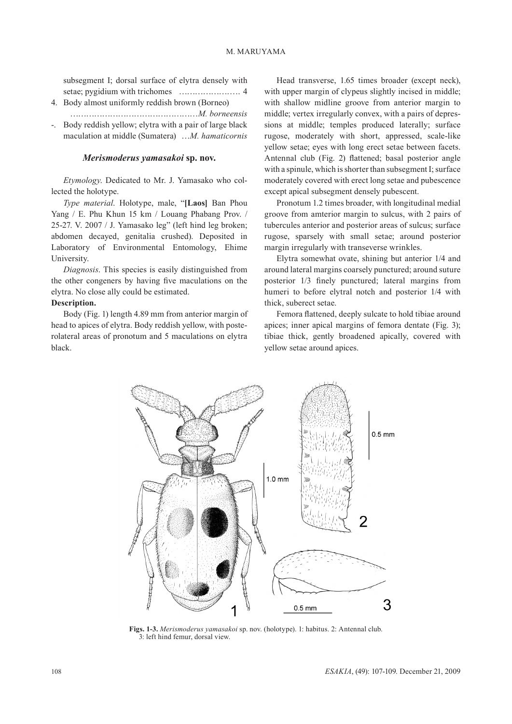subsegment I; dorsal surface of elytra densely with setae; pygidium with trichomes ………………….. 4

- 4. Body almost uniformly reddish brown (Borneo)
- …………………………………………*M. borneensis* Body reddish yellow; elytra with a pair of large black

maculation at middle (Sumatera) …*M. hamaticornis*

#### *Merismoderus yamasakoi* **sp. nov.**

*Etymology*. Dedicated to Mr. J. Yamasako who collected the holotype.

*Type material*. Holotype, male, "**[Laos]** Ban Phou Yang / E. Phu Khun 15 km / Louang Phabang Prov. / 25-27. V. 2007 / J. Yamasako leg" (left hind leg broken; abdomen decayed, genitalia crushed). Deposited in Laboratory of Environmental Entomology, Ehime University.

*Diagnosis*. This species is easily distinguished from the other congeners by having five maculations on the elytra. No close ally could be estimated.

#### **Description.**

Body (Fig. 1) length 4.89 mm from anterior margin of head to apices of elytra. Body reddish yellow, with posterolateral areas of pronotum and 5 maculations on elytra black.

Head transverse, 1.65 times broader (except neck), with upper margin of clypeus slightly incised in middle; with shallow midline groove from anterior margin to middle; vertex irregularly convex, with a pairs of depressions at middle; temples produced laterally; surface rugose, moderately with short, appressed, scale-like yellow setae; eyes with long erect setae between facets. Antennal club (Fig. 2) flattened; basal posterior angle with a spinule, which is shorter than subsegment I; surface moderately covered with erect long setae and pubescence except apical subsegment densely pubescent.

Pronotum 1.2 times broader, with longitudinal medial groove from amterior margin to sulcus, with 2 pairs of tubercules anterior and posterior areas of sulcus; surface rugose, sparsely with small setae; around posterior margin irregularly with transeverse wrinkles.

Elytra somewhat ovate, shining but anterior 1/4 and around lateral margins coarsely punctured; around suture posterior 1/3 finely punctured; lateral margins from humeri to before elytral notch and posterior 1/4 with thick, suberect setae.

Femora flattened, deeply sulcate to hold tibiae around apices; inner apical margins of femora dentate (Fig. 3); tibiae thick, gently broadened apically, covered with yellow setae around apices.



**Figs. 1-3.** *Merismoderus yamasakoi* sp. nov. (holotype). 1: habitus. 2: Antennal club. 3: left hind femur, dorsal view.